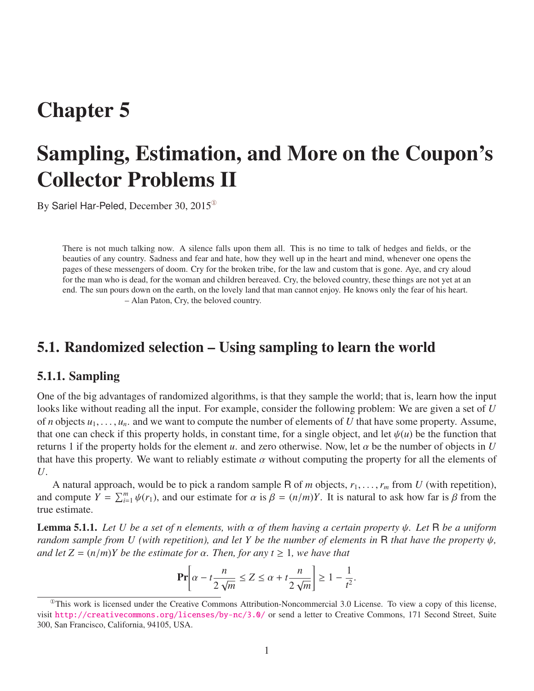## Chapter 5

# Sampling, Estimation, and More on the Coupon's Collector Problems II

By Sariel Har-Peled, December 30, 2015[①](#page-0-0)

There is not much talking now. A silence falls upon them all. This is no time to talk of hedges and fields, or the beauties of any country. Sadness and fear and hate, how they well up in the heart and mind, whenever one opens the pages of these messengers of doom. Cry for the broken tribe, for the law and custom that is gone. Aye, and cry aloud for the man who is dead, for the woman and children bereaved. Cry, the beloved country, these things are not yet at an end. The sun pours down on the earth, on the lovely land that man cannot enjoy. He knows only the fear of his heart. – Alan Paton, Cry, the beloved country.

## 5.1. Randomized selection – Using sampling to learn the world

#### 5.1.1. Sampling

One of the big advantages of randomized algorithms, is that they sample the world; that is, learn how the input looks like without reading all the input. For example, consider the following problem: We are given a set of *U* of *n* objects  $u_1, \ldots, u_n$  and we want to compute the number of elements of *U* that have some property. Assume, that one can check if this property holds, in constant time, for a single object, and let  $\psi(u)$  be the function that returns 1 if the property holds for the element *u*. and zero otherwise. Now, let  $\alpha$  be the number of objects in *U* that have this property. We want to reliably estimate  $\alpha$  without computing the property for all the elements of *U*.

A natural approach, would be to pick a random sample R of *m* objects,  $r_1, \ldots, r_m$  from *U* (with repetition), and compute  $Y = \sum_{i=1}^{m} \psi(r_1)$ , and our estimate for  $\alpha$  is  $\beta = (n/m)Y$ . It is natural to ask how far is  $\beta$  from the true estimate.

<span id="page-0-1"></span>Lemma 5.1.1. *Let U be a set of n elements, with* α *of them having a certain property* ψ*. Let* <sup>R</sup> *be a uniform random sample from U (with repetition), and let Y be the number of elements in* <sup>R</sup> *that have the property* ψ*, and let*  $Z = (n/m)Y$  *be the estimate for*  $\alpha$ *. Then, for any*  $t \ge 1$ *, we have that* 

$$
\Pr\left[\alpha - t\frac{n}{2\sqrt{m}} \le Z \le \alpha + t\frac{n}{2\sqrt{m}}\right] \ge 1 - \frac{1}{t^2}.
$$

<span id="page-0-0"></span> $^{\circ}$ This work is licensed under the Creative Commons Attribution-Noncommercial 3.0 License. To view a copy of this license, visit <http://creativecommons.org/licenses/by-nc/3.0/> or send a letter to Creative Commons, 171 Second Street, Suite 300, San Francisco, California, 94105, USA.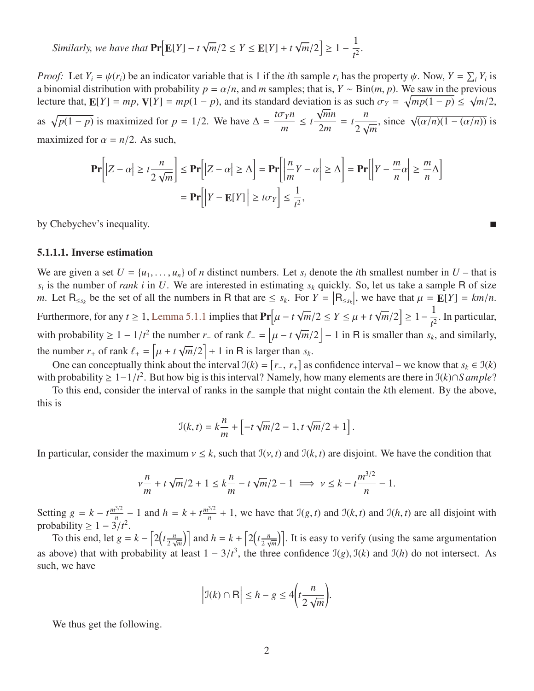Similarly, we have that 
$$
\Pr[E[Y] - t\sqrt{m}/2 \le Y \le E[Y] + t\sqrt{m}/2] \ge 1 - \frac{1}{t^2}
$$
.

*Proof:* Let  $Y_i = \psi(r_i)$  be an indicator variable that is 1 if the *i*th sample  $r_i$  has the property  $\psi$ . Now,  $Y = \sum_i Y_i$  is a binomial distribution with probability  $p_i = \alpha/n$  and *m* samples; that is  $Y \propto \text{Bin}(m, p)$ . We s a binomial distribution with probability  $p = \alpha/n$ , and *m* samples; that is,  $Y \sim \text{Bin}(m, p)$ . We saw in the previous lecture that  $\mathbf{F}[Y] = mn \mathbf{V}[Y] = mn(1 - p)$  and its standard deviation is as such  $\sigma_y = \sqrt{mn(1 - p)} \le \sqrt{m/2}$ . lecture that,  $\mathbf{E}[Y] = mp$ ,  $\mathbf{V}[Y] = mp(1 - p)$ , and its standard deviation is as such  $\sigma_Y = \sqrt{mp(1 - p)} \le \sqrt{m/2}$ , as  $\sqrt{p(1 - p)}$  is maximized for  $p = 1/2$ . We have  $\Delta = \frac{t\sigma_Y n}{m}$  $\leq t \frac{\sqrt{mn}}{2}$ 2*m* = *t n* 2  $\frac{v}{\sqrt{2}}$  $\frac{m}{m}$ , since  $\sqrt{\frac{\alpha}{n}(1 - (\alpha/n))}$  is maximized for  $\alpha = n/2$ . As such,

$$
\mathbf{Pr}\bigg[|Z - \alpha| \ge t \frac{n}{2\sqrt{m}}\bigg] \le \mathbf{Pr}\bigg[|Z - \alpha| \ge \Delta\bigg] = \mathbf{Pr}\bigg[\bigg|\frac{n}{m}Y - \alpha\bigg| \ge \Delta\bigg] = \mathbf{Pr}\bigg[\bigg|Y - \frac{m}{n}\alpha\bigg| \ge \frac{m}{n}\Delta\bigg]
$$

$$
= \mathbf{Pr}\bigg[\big|Y - \mathbf{E}[Y]\big| \ge t\sigma_Y\bigg] \le \frac{1}{t^2},
$$

by Chebychev's inequality.

#### 5.1.1.1. Inverse estimation

We are given a set  $U = \{u_1, \ldots, u_n\}$  of *n* distinct numbers. Let  $s_i$  denote the *i*th smallest number in  $U$  – that is  $s_i$  is the number of *rank i* in *U*. We are interested in estimating  $s_k$  quickly. So, let us take a sample R of size *m*. Let  $R_{\leq s_k}$  be the set of all the numbers in R that are  $\leq s_k$ . For  $Y = |R_{\leq s_k}|$ , we have that  $\mu = \mathbb{E}[Y] = km/n$ . Furthermore, for any *t*  $\geq 1$ , [Lemma 5.1.1](#page-0-1) implies that  $Pr[\mu - t]$ √  $\sqrt{m}/2 \leq Y \leq \mu + t$ √  $\left[\frac{m}{2}\right] \geq 1 - \frac{1}{t^2}$  $\frac{1}{t^2}$ . In particular, with probability  $\geq 1 - 1/t^2$  the number *r*<sub>−</sub> of rank  $\ell_- = \left[ \mu - t \right]$ √  $\overline{m}/2$  – 1 in R is smaller than *s<sub>k</sub>*, and similarly, the number  $r_+$  of rank  $\ell_+ = \left[ \mu + t \sqrt{m/2} \right] + 1$  in R is larger than  $s_k$ . √

One can conceptually think about the interval  $\mathcal{I}(k) = [r_-, r_+]$  as confidence interval – we know that  $s_k \in \mathcal{I}(k)$ <br>a probability > 1−1/ $t^2$ . But how big is this interval? Namely, how many elements are there in  $\mathcal{I$ with probability  $\geq 1-1/t^2$ . But how big is this interval? Namely, how many elements are there in  $\mathcal{I}(k) \cap S$  *ample*?<br>To this end, consider the interval of ranks in the sample that might contain the *k*th element. B

To this end, consider the interval of ranks in the sample that might contain the *k*th element. By the above, this is

$$
\mathfrak{I}(k,t) = k \frac{n}{m} + \left[ -t \sqrt{m}/2 - 1, t \sqrt{m}/2 + 1 \right].
$$

In particular, consider the maximum  $v \leq k$ , such that  $\mathcal{I}(v, t)$  and  $\mathcal{I}(k, t)$  are disjoint. We have the condition that

$$
\nu \frac{n}{m} + t \sqrt{\frac{m}{2}} + 1 \le k \frac{n}{m} - t \sqrt{\frac{m}{2}} - 1 \implies \nu \le k - t \frac{m^{3/2}}{n} - 1.
$$

Setting  $g = k - t \frac{m^{3/2}}{n} - 1$  and  $h = k + t \frac{m^{3/2}}{n} + 1$ , we have that  $\mathcal{I}(g, t)$  and  $\mathcal{I}(k, t)$  and  $\mathcal{I}(h, t)$  are all disjoint with probability  $\geq 1 - 3/t^2$ .<br>To this end let  $a =$ 

To this end, let  $g = k - \left[2\left(t\frac{n}{2}\right)\right]$  $\left[\frac{n}{2\sqrt{m}}\right]$  and  $h = k + \left[2\left(t\frac{n}{2\sqrt{m}}\right)\right]$  $\left(\frac{n}{2\sqrt{m}}\right)$ . It is easy to verify (using the same argumentation as above) that with probability at least  $1 - 3/t^3$ , the three confidence  $\mathcal{I}(g)$ ,  $\mathcal{I}(k)$  and  $\mathcal{I}(h)$  do not intersect. As such, we have

$$
\left|\mathfrak{I}(k)\cap\mathsf{R}\right|\leq h-g\leq 4\left(t\frac{n}{2\sqrt{m}}\right).
$$

We thus get the following.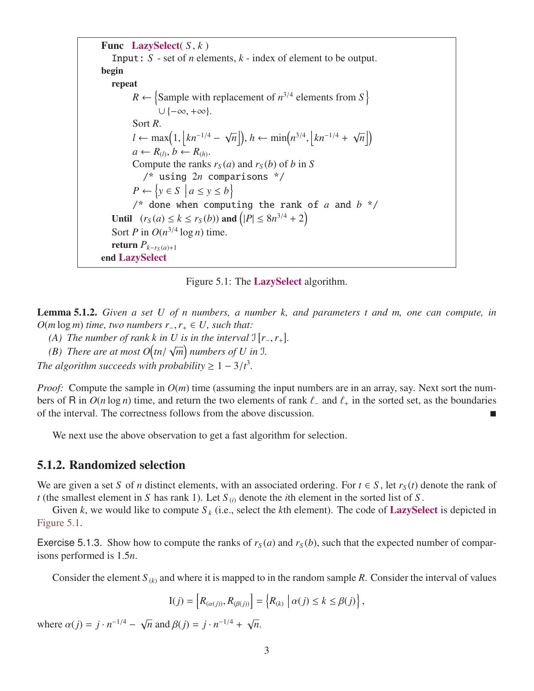```
Func LazySelect( S , k )
   Input: S - set of n elements, k - index of element to be output.
begin
   repeat
          R \leftarrow \{Sample with replacement of n^{3/4} elements from S \}\cup {-\infty, +\infty}.
         Sort R.
          l ← max\left(1, \left|kn^{-1/4} - \sqrt{n}\right|\right)\overline{n}), h \leftarrow \min(n^{3/4}),
                                                                  \intkn<sup>−1/4</sup> + \sqrt{}\overline{n}|)
          a \leftarrow R_{(l)}, b \leftarrow R_{(h)}.Compute the ranks r_S(a) and r_S(b) of b in S
             /* using 2n comparisons */
          P \leftarrow \{y \in S \mid a \leq y \leq b\}/* done when computing the rank of a and b */
   Until (r_S(a) \le k \le r_S(b)) and (|P| \le 8n^{3/4} + 2)Sort P in O(n^{3/4} \log n) time.
   return P_{k-r<sub>S</sub>(a)+1}end LazySelect
```
Figure 5.1: The **LazySelect** algorithm.

Lemma 5.1.2. *Given a set U of n numbers, a number k, and parameters t and m, one can compute, in*  $O(m \log m)$  *time, two numbers r*<sub>−</sub>,  $r_+ \in U$ *, such that:* 

- *(A)* The number of rank k in U is in the interval  $\mathbb{I} [r_-, r_+]$ .<br> *(B)* There are at most  $O(tr_+/s\sqrt{m})$  numbers of U in  $\mathbb{I}$ √
- *(B) There are at most*  $O(tn)$  $\overline{m}$ ) numbers of U in J.

*The algorithm succeeds with probability*  $\geq 1 - 3/t^3$ .

*Proof:* Compute the sample in  $O(m)$  time (assuming the input numbers are in an array, say. Next sort the numbers of R in  $O(n \log n)$  time, and return the two elements of rank  $\ell$ - and  $\ell_+$  in the sorted set, as the boundaries of the interval. The correctness follows from the above discussion.

We next use the above observation to get a fast algorithm for selection.

#### 5.1.2. Randomized selection

We are given a set *S* of *n* distinct elements, with an associated ordering. For  $t \in S$ , let  $r_S(t)$  denote the rank of *t* (the smallest element in *S* has rank 1). Let  $S_{(i)}$  denote the *i*th element in the sorted list of *S*.

Given *k*, we would like to compute  $S_k$  (i.e., select the *k*th element). The code of **LazySelect** is depicted in [Figure 5.1.](#page-2-0)

Exercise 5.1.3. Show how to compute the ranks of  $r<sub>S</sub>(a)$  and  $r<sub>S</sub>(b)$ , such that the expected number of comparisons performed is 1.5*n*.

Consider the element  $S_{(k)}$  and where it is mapped to in the random sample R. Consider the interval of values

$$
I(j) = \left[ R_{(\alpha(j))}, R_{(\beta(j))} \right] = \left\{ R_{(k)} \mid \alpha(j) \leq k \leq \beta(j) \right\},\
$$

<span id="page-2-1"></span>where  $\alpha(j) = j \cdot n^{-1/4} - \sqrt{ }$  $\overline{n}$  and  $\beta(j) = j \cdot n^{-1/4} + \sqrt{3}$ *n*.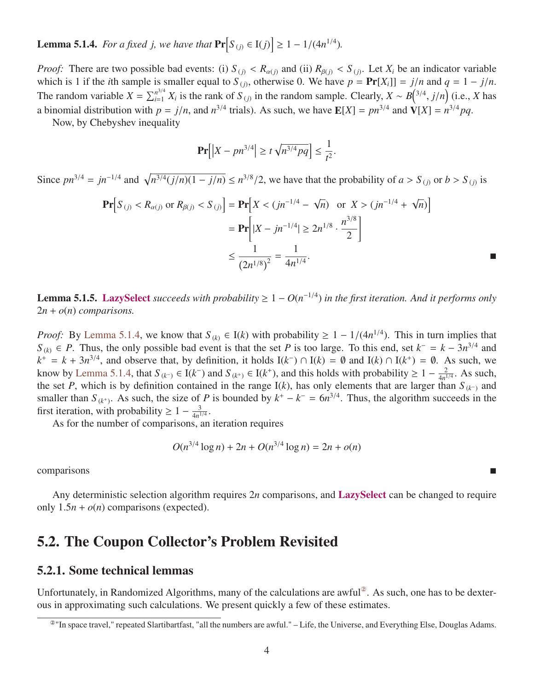**Lemma 5.1.4.** *For a fixed j, we have that*  $Pr[S_{(j)} \in I(j)] \ge 1 - 1/(4n^{1/4})$ *.* 

*Proof:* There are two possible bad events: (i)  $S_{(j)} < R_{\alpha(j)}$  and (ii)  $R_{\beta(j)} < S_{(j)}$ . Let  $X_i$  be an indicator variable which is 1 if the *i*th sample is smaller equal to  $S_{(j)}$  otherwise 0. We have  $n = \text{Pr}[X,1] = i/n$  an which is 1 if the *i*th sample is smaller equal to  $S_{(j)}$ , otherwise 0. We have  $p = Pr[X_i] = j/n$  and  $q = 1 - j/n$ .<br>The gardon variable  $X = \sum n^{3/4} Y_i$  is the gard of  $S_i$  in the gardon sample. Closely,  $Y = P^{(3/4 + j/n)}$  (i.e.,  $Y$  h The random variable  $X = \sum_{i=1}^{n^{3/4}} X_i$  is the rank of  $S_{(j)}$  in the random sample. Clearly,  $X \sim B^{(3/4)}(i, j/n)$  (i.e., *X* has a binomial distribution with  $p = j/n$ , and  $n^{3/4}$  trials). As such, we have  $\mathbb{E}[X] = pn^{3/4}$  and  $\mathbb{V}[X] = n^{3/4}pq$ .<br>Now by Chebyshev inequality

Now, by Chebyshev inequality

$$
\Pr\left[\left|X - pn^{3/4}\right| \ge t\sqrt{n^{3/4}pq}\right] \le \frac{1}{t^2}.
$$

Since  $pn^{3/4} = jn^{-1/4}$  and  $\sqrt{n^{3/4}(j/n)(1 - j/n)} \le n^{3/8}/2$ , we have that the probability of  $a > S_{(j)}$  or  $b > S_{(j)}$  is

$$
\begin{aligned} \Pr\Big[S_{(j)} < R_{\alpha(j)} \text{ or } R_{\beta(j)} < S_{(j)} \Big] &= \Pr\Big[X < (jn^{-1/4} - \sqrt{n}) \quad \text{or } X > (jn^{-1/4} + \sqrt{n})\Big] \\ &= \Pr\Big[|X - j n^{-1/4}| \ge 2n^{1/8} \cdot \frac{n^{3/8}}{2}\Big] \\ &\le \frac{1}{(2n^{1/8})^2} = \frac{1}{4n^{1/4}}. \end{aligned}
$$

**Lemma 5.1.5.** LazySelect *succeeds with probability*  $\geq 1 - O(n^{-1/4})$  *in the first iteration. And it performs only* 2*n* + *o*(*n*) *comparisons.*

*Proof:* By [Lemma 5.1.4,](#page-2-1) we know that  $S_{(k)} \in I(k)$  with probability  $\geq 1 - 1/(4n^{1/4})$ . This in turn implies that  $S_{(k)} \in P$ . Thus the only possible had event is that the set *P* is too large. To this end, set  $k = -k - 3n^{3$ *S*<sub>(*k*)</sub> ∈ *P*. Thus, the only possible bad event is that the set *P* is too large. To this end, set  $k^- = k - 3n^{3/4}$  and  $k^+ = k + 3n^{3/4}$ , and observe that, by definition, it holds  $I(k^-) \cap I(k) = \emptyset$  and  $I(k) \cap I(k^+) = \emptyset$ . As such, we know by [Lemma 5.1.4,](#page-2-1) that  $S_{(k^-)} \in I(k^-)$  and  $S_{(k^+)} \in I(k^+)$ , and this holds with probability  $\geq 1 - \frac{2}{4n^3}$  $rac{2}{4n^{1/4}}$ . As such, the set *P*, which is by definition contained in the range  $I(k)$ , has only elements that are larger than  $S_{(k^-)}$  and smaller than  $S_{(k^+)}$ . As such, the size of *P* is bounded by  $k^+ - k^- = 6n^{3/4}$ . Thus, the algorithm succeeds in the first iteration, with probability  $\geq 1 - \frac{3}{4n^2}$  $\frac{3}{4n^{1/4}}$ 

As for the number of comparisons, an iteration requires

$$
O(n^{3/4} \log n) + 2n + O(n^{3/4} \log n) = 2n + o(n)
$$

comparisons

Any deterministic selection algorithm requires 2*n* comparisons, and LazySelect can be changed to require only  $1.5n + o(n)$  comparisons (expected).

### 5.2. The Coupon Collector's Problem Revisited

#### 5.2.1. Some technical lemmas

Unfortunately, in Randomized Algorithms, many of the calculations are awful<sup>2</sup>. As such, one has to be dexterous in approximating such calculations. We present quickly a few of these estimates.

<span id="page-3-0"></span><sup>②</sup>"In space travel," repeated Slartibartfast, "all the numbers are awful." – Life, the Universe, and Everything Else, Douglas Adams.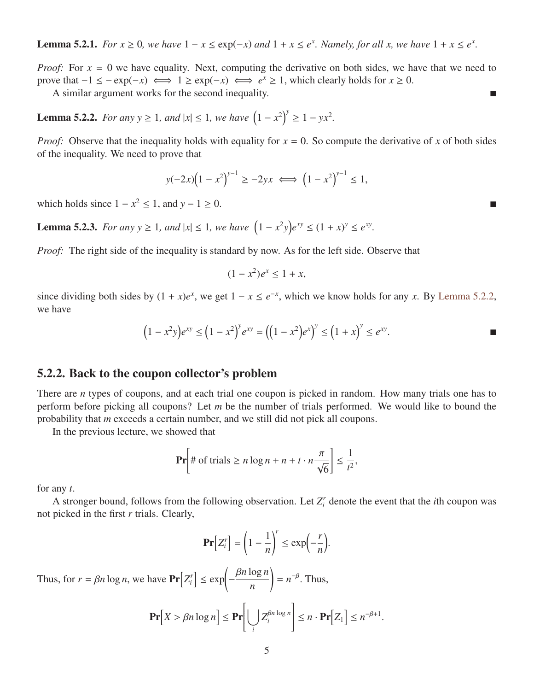**Lemma 5.2.1.** *For*  $x \ge 0$ , we have  $1 - x \le \exp(-x)$  and  $1 + x \le e^x$ . Namely, for all x, we have  $1 + x \le e^x$ .

*Proof:* For  $x = 0$  we have equality. Next, computing the derivative on both sides, we have that we need to prove that  $-1 \leq -\exp(-x) \iff 1 \geq \exp(-x) \iff e^x \geq 1$ , which clearly holds for  $x \geq 0$ .

A similar argument works for the second inequality.

<span id="page-4-0"></span>**Lemma 5.2.2.** *For any y*  $\geq 1$ *, and*  $|x| \leq 1$ *, we have*  $(1 - x^2)^y \geq 1 - yx^2$ *.* 

*Proof:* Observe that the inequality holds with equality for  $x = 0$ . So compute the derivative of *x* of both sides of the inequality. We need to prove that

$$
y(-2x)(1-x^2)^{y-1} \ge -2yx \iff (1-x^2)^{y-1} \le 1,
$$

which holds since  $1 - x^2 \le 1$ , and  $y - 1 \ge 0$ .

<span id="page-4-1"></span>**Lemma 5.2.3.** *For any y*  $\geq 1$ *, and*  $|x| \leq 1$ *, we have*  $(1 - x^2y)e^{xy} \leq (1 + x)^y \leq e^{xy}$ *.* 

*Proof:* The right side of the inequality is standard by now. As for the left side. Observe that

$$
(1-x^2)e^x \le 1+x,
$$

since dividing both sides by  $(1 + x)e^x$ , we get  $1 - x \le e^{-x}$ , which we know holds for any *x*. By [Lemma 5.2.2,](#page-4-0) we have

$$
(1 - x^2 y)e^{xy} \le (1 - x^2)^y e^{xy} = ((1 - x^2)e^x)^y \le (1 + x)^y \le e^{xy}.
$$

#### 5.2.2. Back to the coupon collector's problem

There are *n* types of coupons, and at each trial one coupon is picked in random. How many trials one has to perform before picking all coupons? Let *m* be the number of trials performed. We would like to bound the probability that *m* exceeds a certain number, and we still did not pick all coupons.

In the previous lecture, we showed that

$$
\Pr\left[\#\text{ of trials}\geq n\log n + n + t \cdot n\frac{\pi}{\sqrt{6}}\right] \leq \frac{1}{t^2},
$$

for any *t*.

A stronger bound, follows from the following observation. Let  $Z_i^r$  denote the event that the *i*th coupon was not picked in the first *r* trials. Clearly,

$$
\mathbf{Pr}\Big[Z_i^r\Big] = \left(1 - \frac{1}{n}\right)^r \le \exp\Bigl(-\frac{r}{n}\Bigr).
$$

<span id="page-4-2"></span>Thus, for  $r = \beta n \log n$ , we have  $\Pr[Z_i^r] \le \exp\left(-\frac{\beta n \log n}{n}\right)$ !  $= n^{-\beta}$ . Thus,

$$
\mathbf{Pr}\Big[X > \beta n \log n\Big] \leq \mathbf{Pr}\Big[\bigcup_i Z_i^{\beta n \log n}\Big] \leq n \cdot \mathbf{Pr}\Big[Z_1\Big] \leq n^{-\beta+1}.
$$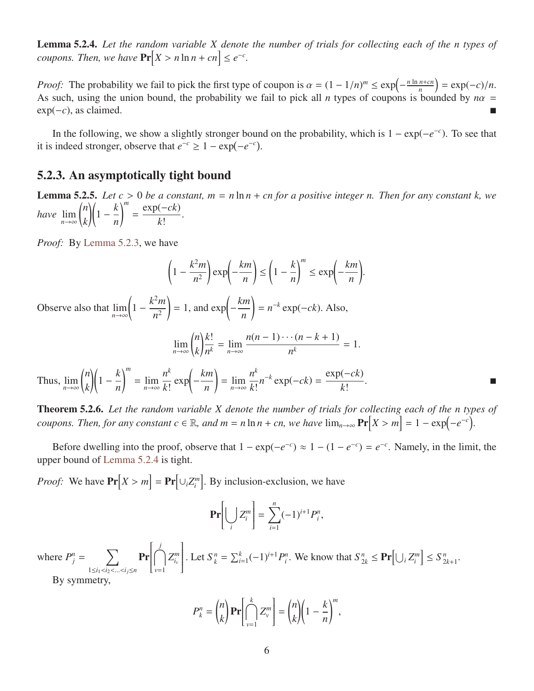Lemma 5.2.4. *Let the random variable X denote the number of trials for collecting each of the n types of coupons. Then, we have*  $\Pr[X > n \ln n + cn] \leq e^{-c}$ .

*Proof:* The probability we fail to pick the first type of coupon is  $\alpha = (1 - 1/n)^m \le \exp\left(-\frac{n \ln n + cn}{n}\right)$ <br>As such using the union bound, the probability we fail to pick all *n* types of coupons is bound  $\left(\frac{n+cn}{n}\right) = \exp(-c)/n.$ As such, using the union bound, the probability we fail to pick all *n* types of coupons is bounded by  $n\alpha$  = exp(−*c*), as claimed.

In the following, we show a slightly stronger bound on the probability, which is  $1 - \exp(-e^{-c})$ . To see that it is indeed stronger, observe that  $e^{-c} \geq 1 - \exp(-e^{-c})$ .

### 5.2.3. An asymptotically tight bound

<span id="page-5-0"></span>**Lemma 5.2.5.** *Let*  $c > 0$  *be a constant,*  $m = n \ln n + cn$  *for a positive integer n. Then for any constant k, we*<br> $\binom{n}{k}$   $\binom{k}{m}$   $\exp(-ck)$ *have*  $\lim_{n \to \infty} \binom{n}{k}$ *k*  $\sqrt{1 - \frac{k}{k}}$ *n*  $\binom{m}{m}$ = exp(−*ck*) *k*! .

*Proof:* By [Lemma 5.2.3,](#page-4-1) we have

$$
\left(1 - \frac{k^2 m}{n^2}\right) \exp\left(-\frac{km}{n}\right) \le \left(1 - \frac{k}{n}\right)^m \le \exp\left(-\frac{km}{n}\right).
$$

Observe also that  $\lim_{n \to \infty} \left( 1 - \frac{k^2 m}{n^2} \right)$ *n* 2  $= 1$ , and  $\exp\left(\frac{1}{2}\right)$ − *km n* !  $= n^{-k} \exp(-ck)$ . Also,

$$
\lim_{n\to\infty} {n \choose k} \frac{k!}{n^k} = \lim_{n\to\infty} \frac{n(n-1)\cdots(n-k+1)}{n^k} = 1.
$$

Thus,  $\lim_{n\to\infty} \binom{n}{k}$ *k*  $\sqrt{1 - \frac{k}{k}}$ *n*  $\binom{m}{m}$  $=$   $\lim_{n\to\infty}$ *n k k*!  $\exp\left(-\frac{km}{m}\right)$ *n* !  $=\lim_{n\to\infty}$ *n k k*!  $n^{-k}$  exp( $-ck$ ) = exp(−*ck*) *k*! .

Theorem 5.2.6. *Let the random variable X denote the number of trials for collecting each of the n types of coupons. Then, for any constant*  $c \in \mathbb{R}$ *, and*  $m = n \ln n + cn$ *, we have*  $\lim_{n \to \infty} Pr[X > m] = 1 - exp(-e^{-c})$ 

Before dwelling into the proof, observe that  $1 - \exp(-e^{-c}) \approx 1 - (1 - e^{-c}) = e^{-c}$ . Namely, in the limit, the upper bound of [Lemma 5.2.4](#page-4-2) is tight.

*Proof:* We have  $Pr[X > m] = Pr[\cup_i Z_i^m]$ . By inclusion-exclusion, we have

$$
\mathbf{Pr}\bigg[\bigcup_i Z_i^m\bigg] = \sum_{i=1}^n (-1)^{i+1} P_i^n,
$$

where  $P_j^n = \sum_j$ <sup>1</sup>≤*i*1<*i*2<...<*ij*≤*<sup>n</sup>* Pr ſ  $\overline{\phantom{a}}$  $\bigcap^j$ *v*=1  $Z_{i_v}^m$ 1  $\overline{\phantom{a}}$ . Let  $S_{k}^{n} = \sum_{i=1}^{k} (-1)^{i+1} P_{i}^{n}$ . We know that  $S_{2k}^{n} \le \mathbf{Pr} \Big[ \bigcup_{i} Z_{i}^{m} \Big] \le S_{2}^{n}$ 2*k*+1 . By symmetry,

$$
P_k^n = \binom{n}{k} \mathbf{Pr} \bigg[ \bigcap_{\nu=1}^k Z_\nu^m \bigg] = \binom{n}{k} \bigg( 1 - \frac{k}{n} \bigg)^m,
$$